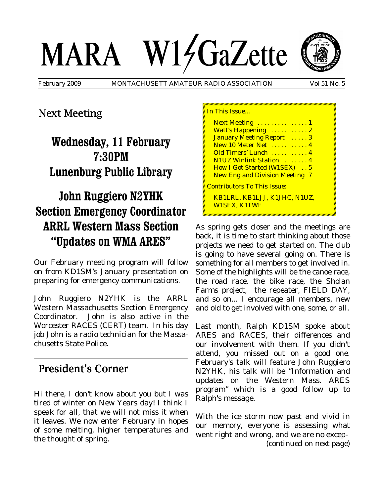# MARA W14GaZette

February 2009 MONTACHUSETT AMATEUR RADIO ASSOCIATION Vol 51 No. 5



Next Meeting

# **Wednesday, 11 February 7:30PM Lunenburg Public Library**

# **John Ruggiero N2YHK Section Emergency Coordinator ARRL Western Mass Section "Updates on WMA ARES"**

Our February meeting program will follow on from KD1SM's January presentation on preparing for emergency communications.

John Ruggiero N2YHK is the ARRL Western Massachusetts Section Emergency Coordinator. John is also active in the Worcester RACES (CERT) team. In his day job John is a radio technician for the Massachusetts State Police.

### President's Corner

Hi there, I don't know about you but I was tired of winter on New Years day! I think I speak for all, that we will not miss it when it leaves. We now enter February in hopes of some melting, higher temperatures and the thought of spring.

In This Issue... Next Meeting . . . . . . . . . . . . . 1 Watt's Happening ...........2 January Meeting Report ..... 3 New 10 Meter Net . . . . . . . . . . 4 Old Timers' Lunch . . . . . . . . . . 4 N1UZ Winlink Station . . . . . . . 4 How I Got Started (W1SEX) . . 5 New England Division Meeting 7 Contributors To This Issue: KB1LRL, KB1LJJ, K1JHC, N1UZ, W1SEX, K1TWF

As spring gets closer and the meetings are back, it is time to start thinking about those projects we need to get started on. The club is going to have several going on. There is something for all members to get involved in. Some of the highlights will be the canoe race, the road race, the bike race, the Sholan Farms project, the repeater, FIELD DAY, and so on... I encourage all members, new and old to get involved with one, some, or all.

Last month, Ralph KD1SM spoke about ARES and RACES, their differences and our involvement with them. If you didn't attend, you missed out on a good one. February's talk will feature John Ruggiero N2YHK, his talk will be "Information and updates on the Western Mass. ARES program" which is a good follow up to Ralph's message.

With the ice storm now past and vivid in our memory, everyone is assessing what went right and wrong, and we are no excep- *(continued on next page)*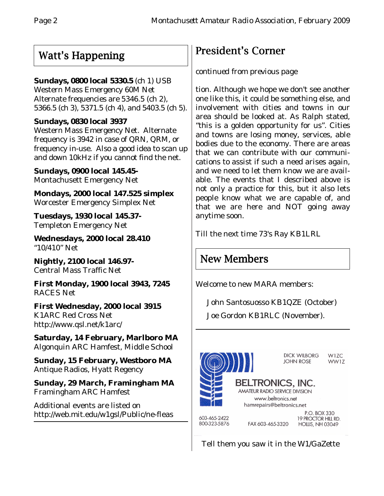# Watt's Happening

#### **Sundays, 0800 local 5330.5** (ch 1) USB

Western Mass Emergency 60M Net Alternate frequencies are 5346.5 (ch 2), 5366.5 (ch 3), 5371.5 (ch 4), and 5403.5 (ch 5).

#### **Sundays, 0830 local 3937**

Western Mass Emergency Net. Alternate frequency is 3942 in case of QRN, QRM, or frequency in-use. Also a good idea to scan up and down 10kHz if you cannot find the net.

**Sundays, 0900 local 145.45-** Montachusett Emergency Net

**Mondays, 2000 local 147.525 simplex** Worcester Emergency Simplex Net

**Tuesdays, 1930 local 145.37-** Templeton Emergency Net

**Wednesdays, 2000 local 28.410** "10/410" Net

**Nightly, 2100 local 146.97-** Central Mass Traffic Net

**First Monday, 1900 local 3943, 7245** RACES Net

**First Wednesday, 2000 local 3915** K1ARC Red Cross Net http://www.qsl.net/k1arc/

**Saturday, 14 February, Marlboro MA** Algonquin ARC Hamfest, Middle School

**Sunday, 15 February, Westboro MA** Antique Radios, Hyatt Regency

**Sunday, 29 March, Framingham MA** Framingham ARC Hamfest

Additional events are listed on http://web.mit.edu/w1gsl/Public/ne-fleas

# President's Corner

#### *continued from previous page*

tion. Although we hope we don't see another one like this, it could be something else, and involvement with cities and towns in our area should be looked at. As Ralph stated, "this is a golden opportunity for us". Cities and towns are losing money, services, able bodies due to the economy. There are areas that we can contribute with our communications to assist if such a need arises again, and we need to let them know we are available. The events that I described above is not only a practice for this, but it also lets people know what we are capable of, and that we are here and NOT going away anytime soon.

Till the next time 73's Ray KB1LRL

# New Members

Welcome to new MARA members:

John Santosuosso KB1QZE (October)

Joe Gordon KB1RLC (November).



Tell them you saw it in the W1/GaZette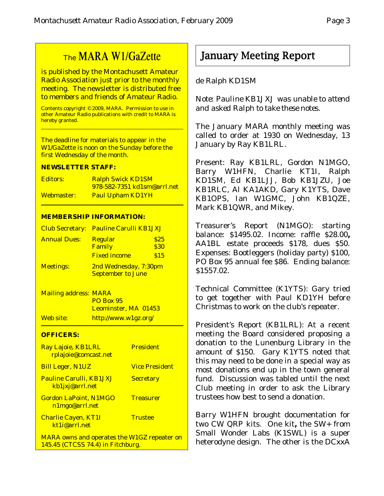# The MARA W1/GaZette

is published by the Montachusett Amateur Radio Association just prior to the monthly meeting. The newsletter is distributed free to members and friends of Amateur Radio.

Contents copyright © 2009, MARA. Permission to use in other Amateur Radio publications with credit to MARA is hereby granted.

The deadline for materials to appear in the W1/GaZette is noon on the Sunday before the first Wednesday of the month.

#### **NEWSLETTER STAFF:**

| <b>Editors:</b> | <b>Ralph Swick KD1SM</b>    |
|-----------------|-----------------------------|
|                 | 978-582-7351 kd1sm@arrl.net |
| Webmaster:      | <b>Paul Upham KD1YH</b>     |

#### **MEMBERSHIP INFORMATION:**

|                     | Club Secretary: Pauline Carulli KB1JXJ            |              |
|---------------------|---------------------------------------------------|--------------|
| <b>Annual Dues:</b> | <b>Regular</b><br>Family                          | \$25<br>\$30 |
|                     | <b>Fixed income</b>                               | \$15         |
| <b>Meetings:</b>    | 2nd Wednesday, 7:30pm<br><b>September to June</b> |              |

Mailing address: MARA PO Box 95 Leominster, MA 01453 Web site: http://www.w1gz.org/

#### **OFFICERS:**

| Ray Lajoie, KB1LRL<br>rplajoie@comcast.net                                              | <b>President</b>      |
|-----------------------------------------------------------------------------------------|-----------------------|
| <b>Bill Leger, N1UZ</b>                                                                 | <b>Vice President</b> |
| <b>Pauline Carulli, KB1JXJ</b><br>kb1jxj@arrl.net                                       | <b>Secretary</b>      |
| <b>Gordon LaPoint, N1MGO</b><br>n1mgo@arrl.net                                          | <b>Treasurer</b>      |
| <b>Charlie Cayen, KT1I</b><br>kt1i@arrl.net                                             | <b>Trustee</b>        |
| <b>MARA owns and operates the W1GZ repeater on</b><br>145.45 (CTCSS 74.4) in Fitchburg. |                       |

## January Meeting Report

#### de Ralph KD1SM

*Note: Pauline KB1JXJ was unable to attend and asked Ralph to take these notes.*

The January MARA monthly meeting was called to order at 1930 on Wednesday, 13 January by Ray KB1LRL.

Present: Ray KB1LRL, Gordon N1MGO, Barry W1HFN, Charlie KT1I, Ralph KD1SM, Ed KB1LJJ, Bob KB1JZU, Joe KB1RLC, Al KA1AKD, Gary K1YTS, Dave KB1OPS, Ian W1GMC, John KB1QZE, Mark KB1QWR, and Mikey.

Treasurer's Report (N1MGO): starting balance: \$1495.02. Income: raffle \$28.00**,** AA1BL estate proceeds \$178, dues \$50. Expenses: Bootleggers (holiday party) \$100, PO Box 95 annual fee \$86. Ending balance: \$1557.02.

Technical Committee (K1YTS): Gary tried to get together with Paul KD1YH before Christmas to work on the club's repeater.

President's Report (KB1LRL): At a recent meeting the Board considered proposing a donation to the Lunenburg Library in the amount of \$150. Gary K1YTS noted that this may need to be done in a special way as most donations end up in the town general fund. Discussion was tabled until the next Club meeting in order to ask the Library trustees how best to send a donation.

Barry W1HFN brought documentation for two CW QRP kits. One kit**,** the SW+ from Small Wonder Labs (K1SWL) is a super heterodyne design. The other is the DCxxA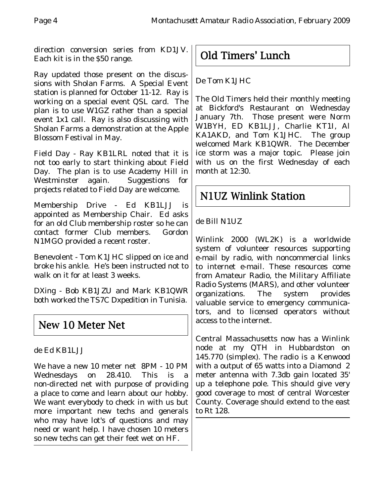direction conversion series from KD1JV. Each kit is in the \$50 range.

Ray updated those present on the discussions with Sholan Farms. A Special Event station is planned for October 11-12. Ray is working on a special event QSL card. The plan is to use W1GZ rather than a special event 1x1 call. Ray is also discussing with Sholan Farms a demonstration at the Apple Blossom Festival in May.

Field Day - Ray KB1LRL noted that it is not too early to start thinking about Field Day. The plan is to use Academy Hill in Westminster again. Suggestions for projects related to Field Day are welcome.

Membership Drive - Ed KB1LJJ is appointed as Membership Chair. Ed asks for an old Club membership roster so he can contact former Club members. Gordon N1MGO provided a recent roster.

Benevolent - Tom K1JHC slipped on ice and broke his ankle. He's been instructed not to walk on it for at least 3 weeks.

DXing - Bob KB1JZU and Mark KB1QWR both worked the TS7C Dxpedition in Tunisia.

# New 10 Meter Net

de Ed KB1LJJ

We have a new 10 meter net 8PM - 10 PM Wednesdays on 28.410. This is a non-directed net with purpose of providing a place to come and learn about our hobby. We want everybody to check in with us but more important new techs and generals who may have lot's of questions and may need or want help. I have chosen 10 meters so new techs can get their feet wet on HF.

Old Timers' Lunch

De Tom K1JHC

The Old Timers held their monthly meeting at Bickford's Restaurant on Wednesday January 7th. Those present were Norm W1BYH, ED KB1LJJ, Charlie KT1I, Al KA1AKD, and Tom K1JHC. The group welcomed Mark KB1QWR. The December ice storm was a major topic. Please join with us on the first Wednesday of each month at 12:30.

# N1UZ Winlink Station

#### de Bill N1UZ

Winlink 2000 (WL2K) is a worldwide system of volunteer resources supporting e-mail by radio, with noncommercial links to internet e-mail. These resources come from Amateur Radio, the Military Affiliate Radio Systems (MARS), and other volunteer organizations. The system provides valuable service to emergency communicators, and to licensed operators without access to the internet.

Central Massachusetts now has a Winlink node at my QTH in Hubbardston on 145.770 (simplex). The radio is a Kenwood with a output of 65 watts into a Diamond 2 meter antenna with 7.3db gain located 35' up a telephone pole. This should give very good coverage to most of central Worcester County. Coverage should extend to the east to Rt 128.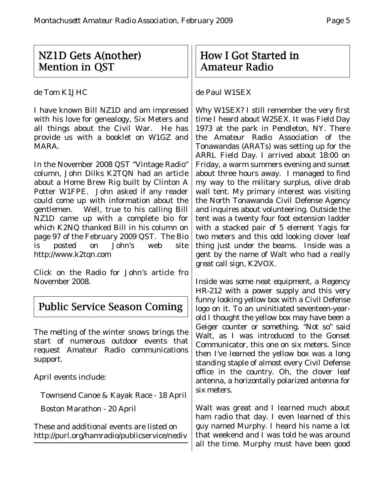## $NZ1D$  Gets A(nother) **Mention in OST**

de Tom K1JHC

I have known Bill NZ1D and am impressed with his love for genealogy, Six Meters and all things about the Civil War. He has provide us with a booklet on W1GZ and MARA.

In the November 2008 QST "Vintage Radio" column, John Dilks K2TQN had an article about a Home Brew Rig built by Clinton A Potter W1FPE. John asked if any reader could come up with information about the gentlemen. Well, true to his calling Bill NZ1D came up with a complete bio for which K2NQ thanked Bill in his column on page 97 of the February 2009 QST. The Bio is posted on John's web site http://www.k2tqn.com

Click on the Radio for John's article fro November 2008.

# Public Service Season Coming

The melting of the winter snows brings the start of numerous outdoor events that request Amateur Radio communications support.

April events include:

Townsend Canoe & Kayak Race - 18 April

Boston Marathon - 20 April

These and additional events are listed on http://purl.org/hamradio/publicservice/nediv

## How I Got Started in Amateur Radio

#### de Paul W1SEX

Why W1SEX? I still remember the very first time I heard about W2SEX. It was Field Day 1973 at the park in Pendleton, NY. There the Amateur Radio Association of the Tonawandas (ARATs) was setting up for the ARRL Field Day. I arrived about 18:00 on Friday, a warm summers evening and sunset about three hours away. I managed to find my way to the military surplus, olive drab wall tent. My primary interest was visiting the North Tonawanda Civil Defense Agency and inquires about volunteering. Outside the tent was a twenty four foot extension ladder with a stacked pair of 5 element Yagis for two meters and this odd looking clover leaf thing just under the beams. Inside was a gent by the name of Walt who had a really great call sign, K2VOX.

Inside was some neat equipment, a Regency HR-212 with a power supply and this very funny looking yellow box with a Civil Defense logo on it. To an uninitiated seventeen-yearold I thought the yellow box may have been a Geiger counter or something. "Not so" said Walt, as I was introduced to the Gonset Communicator, this one on six meters. Since then I've learned the yellow box was a long standing staple of almost every Civil Defense office in the country. Oh, the clover leaf antenna, a horizontally polarized antenna for six meters.

Walt was great and I learned much about ham radio that day. I even learned of this guy named Murphy. I heard his name a lot that weekend and I was told he was around all the time. Murphy must have been good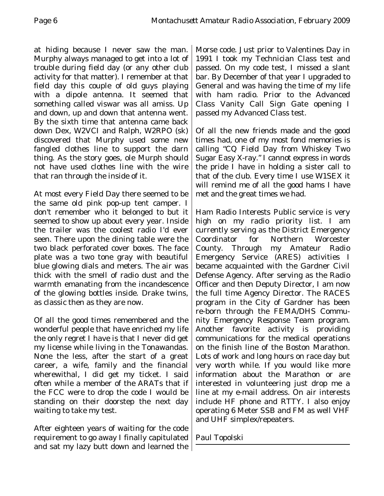at hiding because I never saw the man. Murphy always managed to get into a lot of trouble during field day (or any other club activity for that matter). I remember at that field day this couple of old guys playing with a dipole antenna. It seemed that something called viswar was all amiss. Up and down, up and down that antenna went. By the sixth time that antenna came back down Dex, W2VCI and Ralph, W2RPO (sk) discovered that Murphy used some new fangled clothes line to support the darn thing. As the story goes, ole Murph should not have used clothes line with the wire that ran through the inside of it.

At most every Field Day there seemed to be the same old pink pop-up tent camper. I don't remember who it belonged to but it seemed to show up about every year. Inside the trailer was the coolest radio I'd ever seen. There upon the dining table were the two black perforated cover boxes. The face plate was a two tone gray with beautiful blue glowing dials and meters. The air was thick with the smell of radio dust and the warmth emanating from the incandescence of the glowing bottles inside. Drake twins, as classic then as they are now.

Of all the good times remembered and the wonderful people that have enriched my life the only regret I have is that I never did get my license while living in the Tonawandas. None the less, after the start of a great career, a wife, family and the financial wherewithal, I did get my ticket. I said often while a member of the ARATs that if the FCC were to drop the code I would be standing on their doorstep the next day waiting to take my test.

After eighteen years of waiting for the code requirement to go away I finally capitulated and sat my lazy butt down and learned the Morse code. Just prior to Valentines Day in 1991 I took my Technician Class test and passed. On my code test, I missed a slant bar. By December of that year I upgraded to General and was having the time of my life with ham radio. Prior to the Advanced Class Vanity Call Sign Gate opening I passed my Advanced Class test.

Of all the new friends made and the good times had, one of my most fond memories is calling "CQ Field Day from Whiskey Two Sugar Easy X-ray." I cannot express in words the pride I have in holding a sister call to that of the club. Every time I use W1SEX it will remind me of all the good hams I have met and the great times we had.

Ham Radio Interests Public service is very high on my radio priority list. I am currently serving as the District Emergency Coordinator for Northern Worcester County. Through my Amateur Radio Emergency Service (ARES) activities I became acquainted with the Gardner Civil Defense Agency. After serving as the Radio Officer and then Deputy Director, I am now the full time Agency Director. The RACES program in the City of Gardner has been re-born through the FEMA/DHS Community Emergency Response Team program. Another favorite activity is providing communications for the medical operations on the finish line of the Boston Marathon. Lots of work and long hours on race day but very worth while. If you would like more information about the Marathon or are interested in volunteering just drop me a line at my e-mail address. On air interests include HF phone and RTTY. I also enjoy operating 6 Meter SSB and FM as well VHF and UHF simplex/repeaters.

Paul Topolski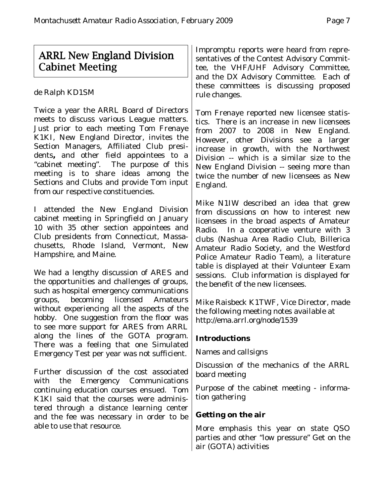## ARRL New England Division Cabinet Meeting

de Ralph KD1SM

Twice a year the ARRL Board of Directors meets to discuss various League matters. Just prior to each meeting Tom Frenaye K1KI, New England Director, invites the Section Managers, Affiliated Club presidents**,** and other field appointees to a "cabinet meeting". The purpose of this meeting is to share ideas among the Sections and Clubs and provide Tom input from our respective constituencies.

I attended the New England Division cabinet meeting in Springfield on January 10 with 35 other section appointees and Club presidents from Connecticut, Massachusetts, Rhode Island, Vermont, New Hampshire, and Maine.

We had a lengthy discussion of ARES and the opportunities and challenges of groups, such as hospital emergency communications groups, becoming licensed Amateurs without experiencing all the aspects of the hobby. One suggestion from the floor was to see more support for ARES from ARRL along the lines of the GOTA program. There was a feeling that one Simulated Emergency Test per year was not sufficient.

Further discussion of the cost associated with the Emergency Communications continuing education courses ensued. Tom K1KI said that the courses were administered through a distance learning center and the fee was necessary in order to be able to use that resource.

Impromptu reports were heard from representatives of the Contest Advisory Committee, the VHF/UHF Advisory Committee, and the DX Advisory Committee. Each of these committees is discussing proposed rule changes.

Tom Frenaye reported new licensee statistics.There is an increase in new licensees from 2007 to 2008 in New England. However, other Divisions see a larger increase in growth, with the Northwest Division -- which is a similar size to the New England Division -- seeing more than twice the number of new licensees as New England.

Mike N1IW described an idea that grew from discussions on how to interest new licensees in the broad aspects of Amateur Radio. In a cooperative venture with 3 clubs (Nashua Area Radio Club, Billerica Amateur Radio Society, and the Westford Police Amateur Radio Team), a literature table is displayed at their Volunteer Exam sessions. Club information is displayed for the benefit of the new licensees.

Mike Raisbeck K1TWF, Vice Director, made the following meeting notes available at http://ema.arrl.org/node/1539

#### **Introductions**

Names and callsigns

Discussion of the mechanics of the ARRL board meeting

Purpose of the cabinet meeting - information gathering

#### **Getting on the air**

More emphasis this year on state QSO parties and other "low pressure" Get on the air (GOTA) activities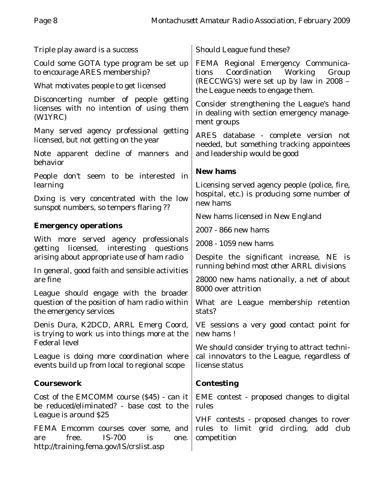| Triple play award is a success                                                                                         | Should League fund these?                                                                                                                                   |  |
|------------------------------------------------------------------------------------------------------------------------|-------------------------------------------------------------------------------------------------------------------------------------------------------------|--|
| Could some GOTA type program be set up<br>to encourage ARES membership?                                                | FEMA Regional Emergency Communica-<br>Coordination Working<br>tions<br>Group<br>(RECCWG's) were set up by law in 2008 -<br>the League needs to engage them. |  |
| What motivates people to get licensed                                                                                  |                                                                                                                                                             |  |
| Disconcerting number of people getting<br>licenses with no intention of using them<br>(W1YRC)                          | Consider strengthening the League's hand<br>in dealing with section emergency manage-<br>ment groups                                                        |  |
| Many served agency professional getting<br>licensed, but not getting on the year                                       | ARES database - complete version not<br>needed, but something tracking appointees                                                                           |  |
| Note apparent decline of manners and<br>behavior                                                                       | and leadership would be good                                                                                                                                |  |
| People don't seem to be interested in                                                                                  | <b>New hams</b>                                                                                                                                             |  |
| learning<br>Dxing is very concentrated with the low                                                                    | Licensing served agency people (police, fire,<br>hospital, etc.) is producing some number of                                                                |  |
| sunspot numbers, so tempers flaring ??                                                                                 | new hams                                                                                                                                                    |  |
| <b>Emergency operations</b>                                                                                            | New hams licensed in New England                                                                                                                            |  |
| With more served agency professionals                                                                                  | 2007 - 866 new hams<br>2008 - 1059 new hams                                                                                                                 |  |
| getting licensed, interesting questions<br>arising about appropriate use of ham radio                                  | Despite the significant increase, NE is                                                                                                                     |  |
| In general, good faith and sensible activities                                                                         | running behind most other ARRL divisions                                                                                                                    |  |
| are fine                                                                                                               | 28000 new hams nationally, a net of about<br>8000 over attrition                                                                                            |  |
| League should engage with the broader<br>question of the position of ham radio within<br>the emergency services        | What are League membership retention<br>stats?                                                                                                              |  |
| Denis Dura, K2DCD, ARRL Emerg Coord,<br>is trying to work us into things more at the                                   | VE sessions a very good contact point for<br>new hams!                                                                                                      |  |
| <b>Federal level</b>                                                                                                   | We should consider trying to attract techni-                                                                                                                |  |
| League is doing more coordination where<br>events build up from local to regional scope                                | cal innovators to the League, regardless of<br>license status                                                                                               |  |
| <b>Coursework</b>                                                                                                      | <b>Contesting</b>                                                                                                                                           |  |
| Cost of the EMCOMM course (\$45) - can it<br>be reduced/eliminated? - base cost to the                                 | EME contest - proposed changes to digital<br>rules                                                                                                          |  |
| League is around \$25                                                                                                  | VHF contests - proposed changes to rover                                                                                                                    |  |
| FEMA Emcomm courses cover some, and<br>IS-700<br>free.<br>is<br>one.<br>are<br>http://training.fema.gov/IS/crslist.asp | rules to limit grid circling, add club<br>competition                                                                                                       |  |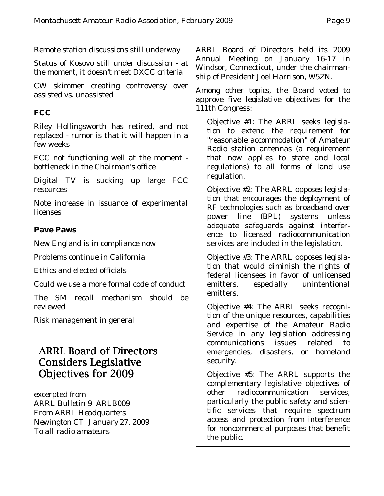Remote station discussions still underway

Status of Kosovo still under discussion - at the moment, it doesn't meet DXCC criteria

CW skimmer creating controversy over assisted vs. unassisted

#### **FCC**

Riley Hollingsworth has retired, and not replaced - rumor is that it will happen in a few weeks

FCC not functioning well at the moment bottleneck in the Chairman's office

Digital TV is sucking up large FCC resources

Note increase in issuance of experimental licenses

#### **Pave Paws**

New England is in compliance now

Problems continue in California

Ethics and elected officials

Could we use a more formal code of conduct

The SM recall mechanism should be reviewed

Risk management in general

## ARRL Board of Directors Considers Legislative Objectives for 2009

excerpted from *ARRL Bulletin 9 ARLB009 From ARRL Headquarters Newington CT January 27, 2009 To all radio amateurs*

ARRL Board of Directors held its 2009 Annual Meeting on January 16-17 in Windsor, Connecticut, under the chairmanship of President Joel Harrison, W5ZN.

Among other topics, the Board voted to approve five legislative objectives for the 111th Congress:

Objective #1: The ARRL seeks legislation to extend the requirement for "reasonable accommodation" of Amateur Radio station antennas (a requirement that now applies to state and local regulations) to all forms of land use regulation.

Objective #2: The ARRL opposes legislation that encourages the deployment of RF technologies such as broadband over power line (BPL) systems unless adequate safeguards against interference to licensed radiocommunication services are included in the legislation.

Objective #3: The ARRL opposes legislation that would diminish the rights of federal licensees in favor of unlicensed emitters, especially unintentional emitters.

Objective #4: The ARRL seeks recognition of the unique resources, capabilities and expertise of the Amateur Radio Service in any legislation addressing communications issues related to emergencies, disasters, or homeland security.

Objective #5: The ARRL supports the complementary legislative objectives of other radiocommunication services, particularly the public safety and scientific services that require spectrum access and protection from interference for noncommercial purposes that benefit the public.